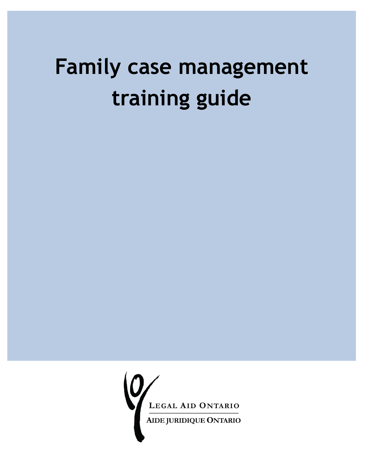# **Family case management training guide**

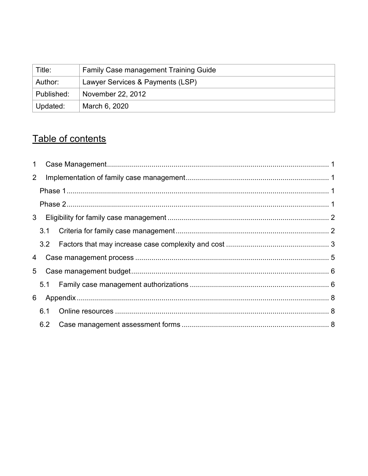| Title:     | <b>Family Case management Training Guide</b> |
|------------|----------------------------------------------|
| Author:    | Lawyer Services & Payments (LSP)             |
| Published: | November 22, 2012                            |
| Updated:   | March 6, 2020                                |

# Table of contents

| 1              |     |  |
|----------------|-----|--|
| $\overline{2}$ |     |  |
|                |     |  |
|                |     |  |
|                |     |  |
|                |     |  |
|                |     |  |
|                |     |  |
|                |     |  |
|                |     |  |
|                |     |  |
|                | 6.1 |  |
|                | 6.2 |  |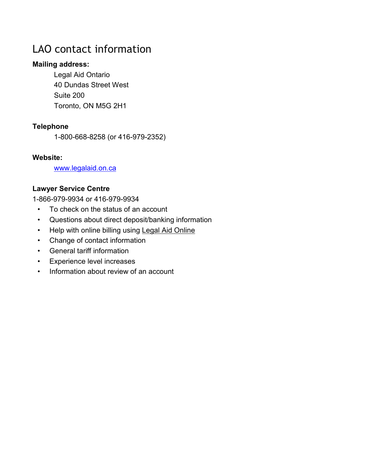### LAO contact information

#### **Mailing address:**

Legal Aid Ontario 40 Dundas Street West Suite 200 Toronto, ON M5G 2H1

#### **Telephone**

1-800-668-8258 (or 416-979-2352)

#### **Website:**

[www.legalaid.on.ca](http://www.legalaid.on.ca/)

#### **Lawyer Service Centre**

1-866-979-9934 or 416-979-9934

- To check on the status of an account
- Questions about direct deposit/banking information
- Help with online billing using Legal Aid Online
- Change of contact information
- General tariff information
- Experience level increases
- Information about review of an account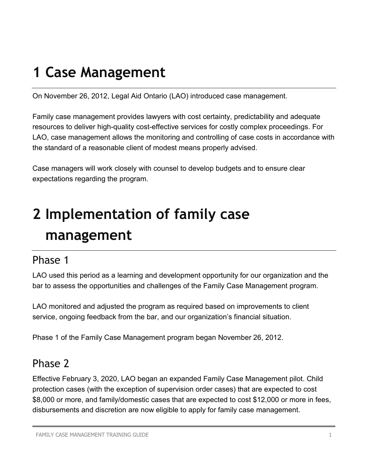# <span id="page-3-0"></span>**1 Case Management**

On November 26, 2012, Legal Aid Ontario (LAO) introduced case management.

Family case management provides lawyers with cost certainty, predictability and adequate resources to deliver high-quality cost-effective services for costly complex proceedings. For LAO, case management allows the monitoring and controlling of case costs in accordance with the standard of a reasonable client of modest means properly advised.

Case managers will work closely with counsel to develop budgets and to ensure clear expectations regarding the program.

# <span id="page-3-1"></span>**2 Implementation of family case management**

### <span id="page-3-2"></span>Phase 1

LAO used this period as a learning and development opportunity for our organization and the bar to assess the opportunities and challenges of the Family Case Management program.

LAO monitored and adjusted the program as required based on improvements to client service, ongoing feedback from the bar, and our organization's financial situation.

Phase 1 of the Family Case Management program began November 26, 2012.

### <span id="page-3-3"></span>Phase 2

Effective February 3, 2020, LAO began an expanded Family Case Management pilot. Child protection cases (with the exception of supervision order cases) that are expected to cost \$8,000 or more, and family/domestic cases that are expected to cost \$12,000 or more in fees, disbursements and discretion are now eligible to apply for family case management.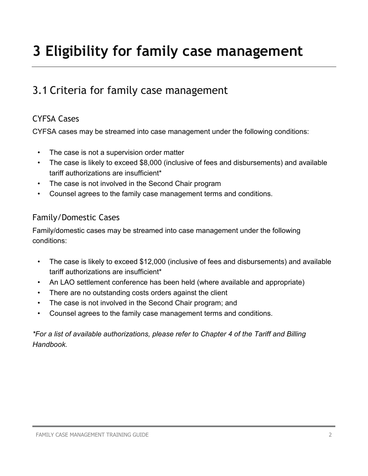# <span id="page-4-0"></span>**3 Eligibility for family case management**

## <span id="page-4-1"></span>3.1 Criteria for family case management

#### CYFSA Cases

CYFSA cases may be streamed into case management under the following conditions:

- The case is not a supervision order matter
- The case is likely to exceed \$8,000 (inclusive of fees and disbursements) and available tariff authorizations are insufficient\*
- The case is not involved in the Second Chair program
- Counsel agrees to the family case management terms and conditions.

#### Family/Domestic Cases

Family/domestic cases may be streamed into case management under the following conditions:

- The case is likely to exceed \$12,000 (inclusive of fees and disbursements) and available tariff authorizations are insufficient\*
- An LAO settlement conference has been held (where available and appropriate)
- There are no outstanding costs orders against the client
- The case is not involved in the Second Chair program; and
- Counsel agrees to the family case management terms and conditions.

*\*For a list of available authorizations, please refer to Chapter 4 of the Tariff and Billing Handbook.*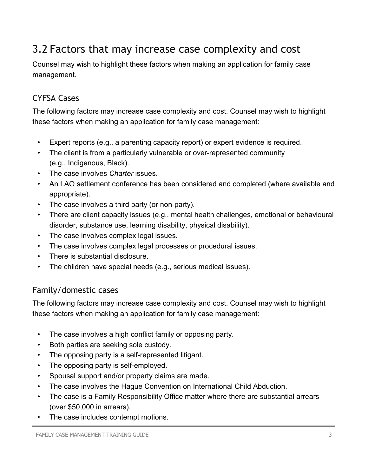# <span id="page-5-0"></span>3.2 Factors that may increase case complexity and cost

Counsel may wish to highlight these factors when making an application for family case management.

#### CYFSA Cases

The following factors may increase case complexity and cost. Counsel may wish to highlight these factors when making an application for family case management:

- Expert reports (e.g., a parenting capacity report) or expert evidence is required.
- The client is from a particularly vulnerable or over-represented community (e.g., Indigenous, Black).
- The case involves *Charter* issues.
- An LAO settlement conference has been considered and completed (where available and appropriate).
- The case involves a third party (or non-party).
- There are client capacity issues (e.g., mental health challenges, emotional or behavioural disorder, substance use, learning disability, physical disability).
- The case involves complex legal issues.
- The case involves complex legal processes or procedural issues.
- There is substantial disclosure.
- The children have special needs (e.g., serious medical issues).

#### Family/domestic cases

The following factors may increase case complexity and cost. Counsel may wish to highlight these factors when making an application for family case management:

- The case involves a high conflict family or opposing party.
- Both parties are seeking sole custody.
- The opposing party is a self-represented litigant.
- The opposing party is self-employed.
- Spousal support and/or property claims are made.
- The case involves the Hague Convention on International Child Abduction.
- The case is a Family Responsibility Office matter where there are substantial arrears (over \$50,000 in arrears).
- The case includes contempt motions.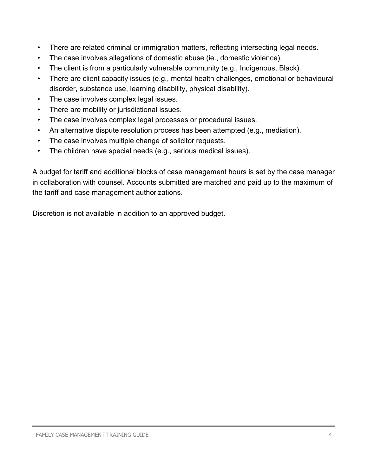- There are related criminal or immigration matters, reflecting intersecting legal needs.
- The case involves allegations of domestic abuse (ie., domestic violence).
- The client is from a particularly vulnerable community (e.g., Indigenous, Black).
- There are client capacity issues (e.g., mental health challenges, emotional or behavioural disorder, substance use, learning disability, physical disability).
- The case involves complex legal issues.
- There are mobility or jurisdictional issues.
- The case involves complex legal processes or procedural issues.
- An alternative dispute resolution process has been attempted (e.g., mediation).
- The case involves multiple change of solicitor requests.
- The children have special needs (e.g., serious medical issues).

A budget for tariff and additional blocks of case management hours is set by the case manager in collaboration with counsel. Accounts submitted are matched and paid up to the maximum of the tariff and case management authorizations.

Discretion is not available in addition to an approved budget.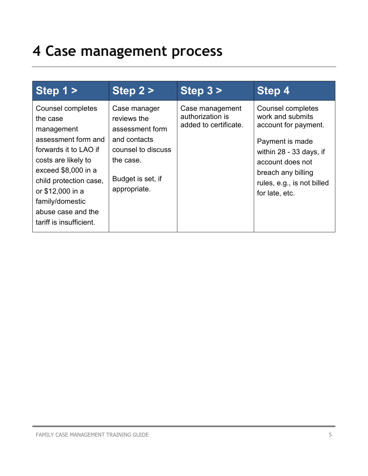# <span id="page-7-0"></span>**4 Case management process**

| Step 1 >                                                                                                                                                                                                                                                    | Step 2 >                                                                                                                               | Step $3 >$                                                   | Step 4                                                                                                                                                                                                |
|-------------------------------------------------------------------------------------------------------------------------------------------------------------------------------------------------------------------------------------------------------------|----------------------------------------------------------------------------------------------------------------------------------------|--------------------------------------------------------------|-------------------------------------------------------------------------------------------------------------------------------------------------------------------------------------------------------|
| Counsel completes<br>the case<br>management<br>assessment form and<br>forwards it to LAO if<br>costs are likely to<br>exceed \$8,000 in a<br>child protection case,<br>or \$12,000 in a<br>family/domestic<br>abuse case and the<br>tariff is insufficient. | Case manager<br>reviews the<br>assessment form<br>and contacts<br>counsel to discuss<br>the case.<br>Budget is set, if<br>appropriate. | Case management<br>authorization is<br>added to certificate. | Counsel completes<br>work and submits<br>account for payment.<br>Payment is made<br>within 28 - 33 days, if<br>account does not<br>breach any billing<br>rules, e.g., is not billed<br>for late, etc. |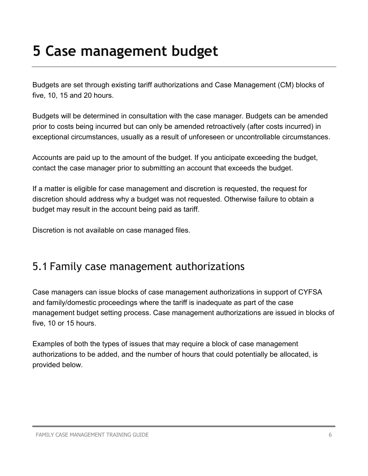# <span id="page-8-0"></span>**5 Case management budget**

Budgets are set through existing tariff authorizations and Case Management (CM) blocks of five, 10, 15 and 20 hours.

Budgets will be determined in consultation with the case manager. Budgets can be amended prior to costs being incurred but can only be amended retroactively (after costs incurred) in exceptional circumstances, usually as a result of unforeseen or uncontrollable circumstances.

Accounts are paid up to the amount of the budget. If you anticipate exceeding the budget, contact the case manager prior to submitting an account that exceeds the budget.

If a matter is eligible for case management and discretion is requested, the request for discretion should address why a budget was not requested. Otherwise failure to obtain a budget may result in the account being paid as tariff.

Discretion is not available on case managed files.

### <span id="page-8-1"></span>5.1 Family case management authorizations

Case managers can issue blocks of case management authorizations in support of CYFSA and family/domestic proceedings where the tariff is inadequate as part of the case management budget setting process. Case management authorizations are issued in blocks of five, 10 or 15 hours.

Examples of both the types of issues that may require a block of case management authorizations to be added, and the number of hours that could potentially be allocated, is provided below.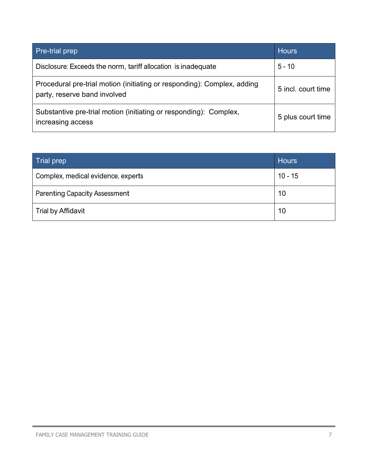| <b>Pre-trial prep</b>                                                                                   | <b>Hours</b>       |
|---------------------------------------------------------------------------------------------------------|--------------------|
| Disclosure: Exceeds the norm, tariff allocation is inadequate                                           | $5 - 10$           |
| Procedural pre-trial motion (initiating or responding): Complex, adding<br>party, reserve band involved | 5 incl. court time |
| Substantive pre-trial motion (initiating or responding): Complex,<br>increasing access                  | 5 plus court time  |

| Trial prep                           | <b>Hours</b> |
|--------------------------------------|--------------|
| Complex, medical evidence, experts   | $10 - 15$    |
| <b>Parenting Capacity Assessment</b> | 10           |
| <b>Trial by Affidavit</b>            | 10           |